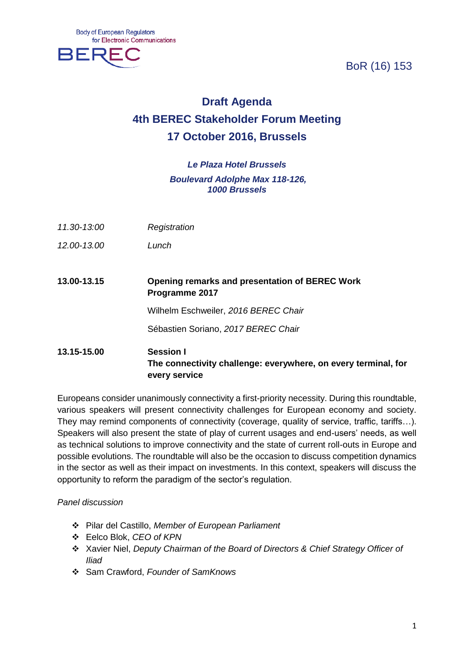BoR (16) 153



# **Draft Agenda 4th BEREC Stakeholder Forum Meeting 17 October 2016, Brussels**

## *Le Plaza Hotel Brussels Boulevard Adolphe Max 118-126, 1000 Brussels*

- *11.30-13:00 Registration*
- *12.00-13.00 Lunch*
- **13.00-13.15 Opening remarks and presentation of BEREC Work Programme 2017**

Wilhelm Eschweiler, *2016 BEREC Chair*

Sébastien Soriano, *2017 BEREC Chair*

## **13.15-15.00 Session I The connectivity challenge: everywhere, on every terminal, for every service**

Europeans consider unanimously connectivity a first-priority necessity. During this roundtable, various speakers will present connectivity challenges for European economy and society. They may remind components of connectivity (coverage, quality of service, traffic, tariffs…). Speakers will also present the state of play of current usages and end-users' needs, as well as technical solutions to improve connectivity and the state of current roll-outs in Europe and possible evolutions. The roundtable will also be the occasion to discuss competition dynamics in the sector as well as their impact on investments. In this context, speakers will discuss the opportunity to reform the paradigm of the sector's regulation.

#### *Panel discussion*

- Pilar del Castillo, *Member of European Parliament*
- Eelco Blok, *CEO of KPN*
- Xavier Niel, *Deputy Chairman of the Board of Directors & Chief Strategy Officer of Iliad*
- Sam Crawford, *Founder of SamKnows*